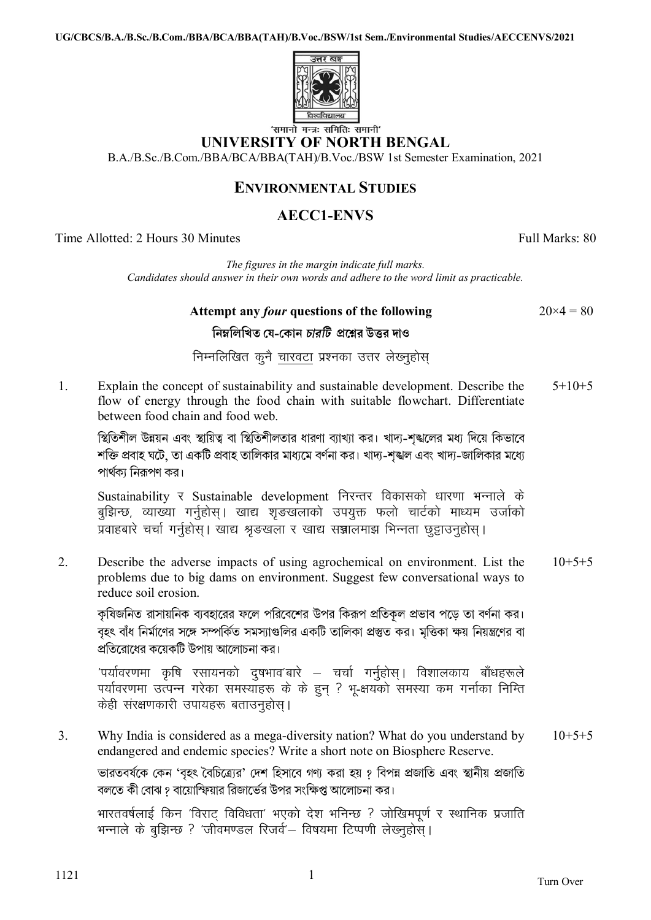## UG/CBCS/B.A./B.Sc./B.Com./BBA/BCA/BBA(TAH)/B.Voc./BSW/1st Sem./Environmental Studies/AECCENVS/2021



'समानो मन्त्रः समितिः समानी'

## **UNIVERSITY OF NORTH BENGAL**

B.A./B.Sc./B.Com./BBA/BCA/BBA(TAH)/B.Voc./BSW 1st Semester Examination, 2021

# **ENVIRONMENTAL STUDIES**

# **AECC1-ENVS**

Time Allotted: 2 Hours 30 Minutes

Full Marks: 80

The figures in the margin indicate full marks. Candidates should answer in their own words and adhere to the word limit as practicable.

#### Attempt any *four* questions of the following  $20 \times 4 = 80$

# নিম্নলিখিত যে-কোন *চারটি প্র*শ্নের উত্তর দাও

निम्नलिखित कुनै चारवटा प्रश्नका उत्तर लेख्नुहोस

 $1$  $5+10+5$ Explain the concept of sustainability and sustainable development. Describe the flow of energy through the food chain with suitable flowchart. Differentiate between food chain and food web.

স্থিতিশীল উন্নয়ন এবং স্থায়িত্ব বা স্থিতিশীলতার ধারণা ব্যাখ্যা কর। খাদ্য-শঙ্খলের মধ্য দিয়ে কিভাবে শক্তি প্রবাহ ঘটে, তা একটি প্রবাহ তালিকার মাধ্যমে বর্ণনা কর। খাদ্য-শঙ্খল এবং খাদ্য-জালিকার মধ্যে পার্থকা নিরূপণ কর।

Sustainability र Sustainable development निरन्तर विकासको धारणा भन्नाले के बुझिन्छ, व्याख्या गर्नुहोस्। खाद्य शुङखलाको उपयुक्त फलो चार्टको माध्यम उर्जाको ज्ञ<br>प्रवाहबारे चर्चा गर्नुहोस। खाद्य श्रुङखला र खाद्य सञ्जलमाझ भिन्नता छुट्टाउनुहोस।

2. Describe the adverse impacts of using agrochemical on environment. List the  $10+5+5$ problems due to big dams on environment. Suggest few conversational ways to reduce soil erosion.

কৃষিজনিত রাসায়নিক ব্যবহারের ফলে পরিবেশের উপর কিরূপ প্রতিকল প্রভাব পড়ে তা বর্ণনা কর। বহৎ বাঁধ নির্মাণের সঙ্গে সম্পর্কিত সমস্যাগুলির একটি তালিকা প্রস্তুত কর। মত্তিকা ক্ষয় নিয়ন্ত্রণের বা প্রতিরোধের কয়েকটি উপায় আলোচনা কর।

'पर्यावरणमा कृषि रसायनको दुषभाव'बारे – चर्चा गर्नुहोस् । विशालकाय बाँधहरूले पर्यावरणमा उत्पन्न गरेका समस्याहरू के के हन ? भू-क्षयको समस्या कम गर्नाका निम्ति केही संरक्षणकारी उपायहरू बताउनुहोस्।

Why India is considered as a mega-diversity nation? What do you understand by  $\overline{\mathcal{E}}$  $10+5+5$ endangered and endemic species? Write a short note on Biosphere Reserve. ভারতবর্ষকে কেন 'বৃহৎ বৈচিত্র্যের' দেশ হিসাবে গণ্য করা হয় ? বিপন্ন প্রজাতি এবং স্থানীয় প্রজাতি

বলতে কী বোঝ ? বায়োস্ফিয়ার রিজার্ভের উপর সংক্ষিপ্ত আলোচনা কর।

भारतवर्षलाई किन 'विराट विविधता' भएको देश भनिन्छ ? जोखिमपुर्ण र स्थानिक प्रजाति भन्नाले के बुझिन्छ ? 'जीवमण्डल रिजर्व'– विषयमा टिप्पणी लेख्नुहोस।